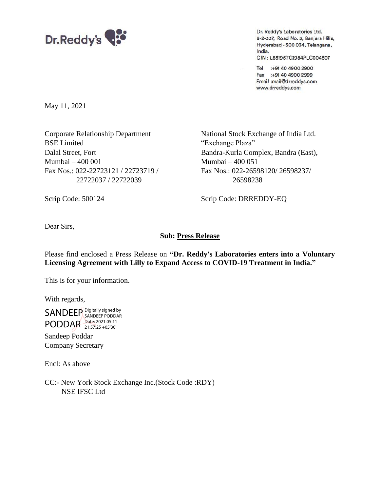

Dr. Reddy's Laboratories Ltd. 8-2-337, Road No. 3, Banjara Hills, Hyderabad - 500 034, Telangana, India. CIN: L85195TG1984PLC004507

Tel :+91 40 4900 2900 Fax :+91 40 4900 2999 Email :mail@drreddys.com www.drreddys.com

May 11, 2021

Corporate Relationship Department National Stock Exchange of India Ltd. BSE Limited "Exchange Plaza" Mumbai – 400 001 Mumbai – 400 051 Fax Nos.: 022-22723121 / 22723719 / Fax Nos.: 022-26598120/ 26598237/ 22722037 / 22722039 26598238

Dalal Street, Fort Bandra-Kurla Complex, Bandra (East),

Scrip Code: 500124 Scrip Code: DRREDDY-EQ

Dear Sirs,

## **Sub: Press Release**

Please find enclosed a Press Release on **"Dr. Reddy's Laboratories enters into a Voluntary Licensing Agreement with Lilly to Expand Access to COVID-19 Treatment in India."**

This is for your information.

With regards,

SANDEEP Digitally signed by PODDAR Date: 2021.05.11 SANDEEP PODDAR 21:57:25 +05'30'

Sandeep Poddar Company Secretary

Encl: As above

CC:- New York Stock Exchange Inc.(Stock Code :RDY) NSE IFSC Ltd